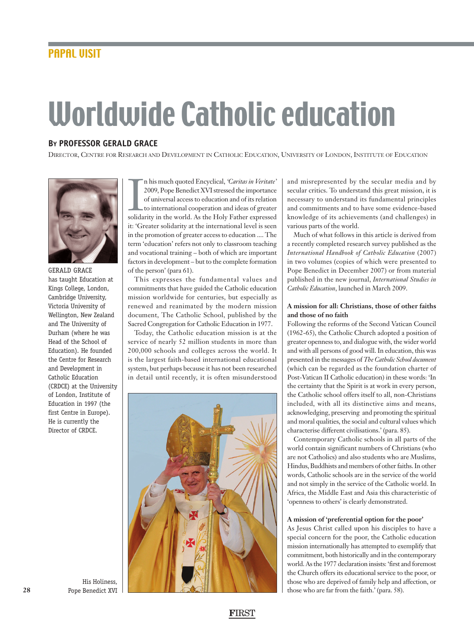# Worldwide Catholic education

# **BY PROFESSOR GERALD GRACE**

DIRECTOR, CENTRE FOR RESEARCH AND DEVELOPMENT IN CATHOLIC EDUCATION, UNIVERSITY OF LONDON, INSTITUTE OF EDUCATION



GERALD GRACE has taught Education at Kings College, London, Cambridge University, Victoria University of Wellington, New Zealand and The University of Durham (where he was Head of the School of Education). He founded the Centre for Research and Development in Catholic Education (CRDCE) at the University of London, Institute of Education in 1997 (the first Centre in Europe). He is currently the Director of CRDCE.

In his much quoted Encyclical, *'Caritas in Veritate'*<br>2009, Pope Benedict XVI stressed the importance<br>of universal access to education and of its relation<br>to international cooperation and ideas of greater<br>solidarity in th n his much quoted Encyclical, *'Caritas in Veritate'* 2009, Pope Benedict XVI stressed the importance of universal access to education and of its relation to international cooperation and ideas of greater it: 'Greater solidarity at the international level is seen in the promotion of greater access to education .... The term 'education' refers not only to classroom teaching and vocational training – both of which are important factors in development – but to the complete formation of the person' (para 61).

This expresses the fundamental values and commitments that have guided the Catholic education mission worldwide for centuries, but especially as renewed and reanimated by the modern mission document, The Catholic School, published by the Sacred Congregation for Catholic Education in 1977.

Today, the Catholic education mission is at the service of nearly 52 million students in more than 200,000 schools and colleges across the world. It is the largest faith-based international educational system, but perhaps because it has not been researched in detail until recently, it is often misunderstood



and misrepresented by the secular media and by secular critics. To understand this great mission, it is necessary to understand its fundamental principles and commitments and to have some evidence-based knowledge of its achievements (and challenges) in various parts of the world.

Much of what follows in this article is derived from a recently completed research survey published as the *International Handbook of Catholic Education* (2007) in two volumes (copies of which were presented to Pope Benedict in December 2007) or from material published in the new journal, *International Studies in Catholic Education*, launched in March 2009.

## **A mission for all: Christians, those of other faiths and those of no faith**

Following the reforms of the Second Vatican Council (1962-65), the Catholic Church adopted a position of greater openness to, and dialogue with, the wider world and with all persons of good will. In education, this was presented in the messages of *The Catholic School document* (which can be regarded as the foundation charter of Post-Vatican II Catholic education) in these words: 'In the certainty that the Spirit is at work in every person, the Catholic school offers itself to all, non-Christians included, with all its distinctive aims and means, acknowledging, preserving and promoting the spiritual and moral qualities, the social and cultural values which characterise different civilisations.' (para. 85).

Contemporary Catholic schools in all parts of the world contain significant numbers of Christians (who are not Catholics) and also students who are Muslims, Hindus, Buddhists and members of other faiths. In other words, Catholic schools are in the service of the world and not simply in the service of the Catholic world. In Africa, the Middle East and Asia this characteristic of 'openness to others' is clearly demonstrated.

### **A mission of 'preferential option for the poor'**

As Jesus Christ called upon his disciples to have a special concern for the poor, the Catholic education mission internationally has attempted to exemplify that commitment, both historically and in the contemporary world. As the 1977 declaration insists: 'first and foremost the Church offers its educational service to the poor, or those who are deprived of family help and affection, or those who are far from the faith.' (para. 58).

His Holiness, Pope Benedict XVI

**F**IRST